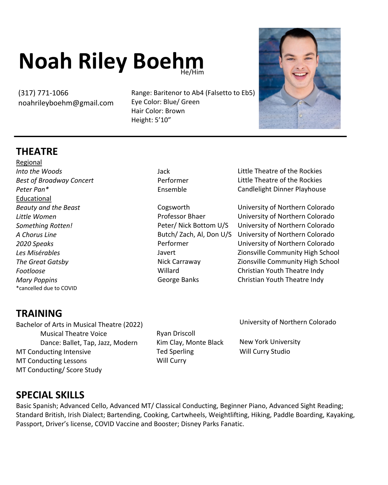## **Noah Riley Boehm**

(317) 771-1066 noahrileyboehm@gmail.com

Hair Color: Brown<br>Height: 5'10" Range: Baritenor to Ab4 (Falsetto to Eb5) Eye Color: Blue/ Green Hair Color: Brown Height: 5'10"



## **TH THEATRE**

Regional *Into the Woods Best of Broadway Concert Peter Pan\** Educational *Beauty and the Beast Little Women Something Rotten! A Chorus Line 2020 Speaks Les Misérables The Great Gatsby Footloose Mary Poppins* \*cancelled due to COVID

Jack Performer Ensemble

Cogsworth Professor Bhaer Peter/ Nick Bottom U/S Performer Javert Nick Carraway Willard George Banks

Little Theatre of the Rockies Little Theatre of the Rockies Candlelight Dinner Playhouse

University of Northern Colorado University of Northern Colorado University of Northern Colorado Butch/Zach, Al, Don U/S University of Northern Colorado University of Northern Colorado Zionsville Community High School Zionsville Community High School Christian Youth Theatre Indy Christian Youth Theatre Indy

## **TRAINING**

Bachelor of Arts in Musical Theatre (2022) Musical Theatre Voice Dance: Ballet, Tap, Jazz, Modern MT Conducting Intensive MT Conducting Lessons MT Conducting/ Score Study

Ryan Driscoll Kim Clay, Monte Black Ted Sperling Will Curry

University of Northern Colorado

New York University Will Curry Studio

## **SPECIAL SKILLS**

Basic Spanish; Advanced Cello, Advanced MT/ Classical Conducting, Beginner Piano, Advanced Sight Reading; Standard British, Irish Dialect; Bartending, Cooking, Cartwheels, Weightlifting, Hiking, Paddle Boarding, Kayaking, Passport, Driver's license, COVID Vaccine and Booster; Disney Parks Fanatic.